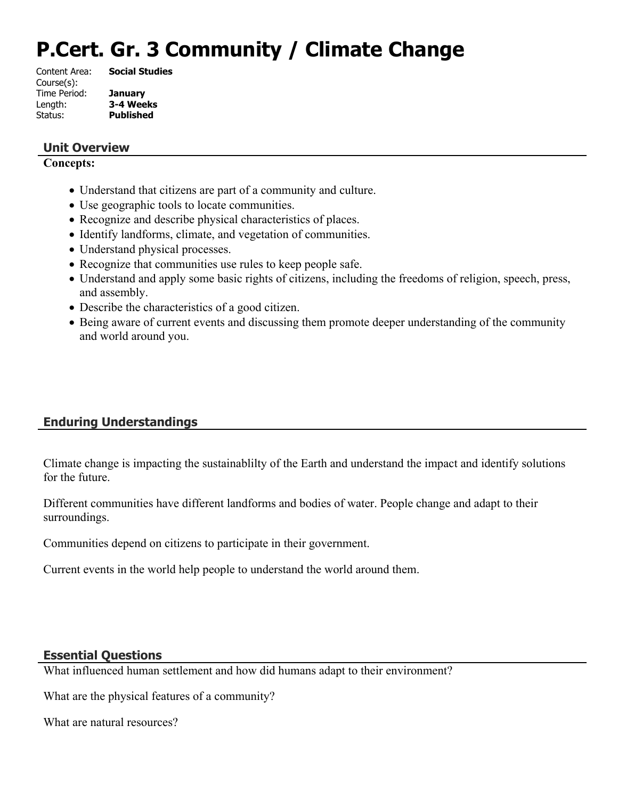# **P.Cert. Gr. 3 Community / Climate Change**

| Content Area: | <b>Social Studies</b> |
|---------------|-----------------------|
| Course(s):    |                       |
| Time Period:  | <b>January</b>        |
| Length:       | 3-4 Weeks             |
| Status:       | <b>Published</b>      |
|               |                       |

#### **Unit Overview**

#### **Concepts:**

- Understand that citizens are part of a community and culture.
- Use geographic tools to locate communities.
- Recognize and describe physical characteristics of places.
- Identify landforms, climate, and vegetation of communities.
- Understand physical processes.
- Recognize that communities use rules to keep people safe.
- Understand and apply some basic rights of citizens, including the freedoms of religion, speech, press, and assembly.
- Describe the characteristics of a good citizen.
- Being aware of current events and discussing them promote deeper understanding of the community and world around you.

# **Enduring Understandings**

Climate change is impacting the sustainablilty of the Earth and understand the impact and identify solutions for the future.

Different communities have different landforms and bodies of water. People change and adapt to their surroundings.

Communities depend on citizens to participate in their government.

Current events in the world help people to understand the world around them.

# **Essential Questions**

What influenced human settlement and how did humans adapt to their environment?

What are the physical features of a community?

What are natural resources?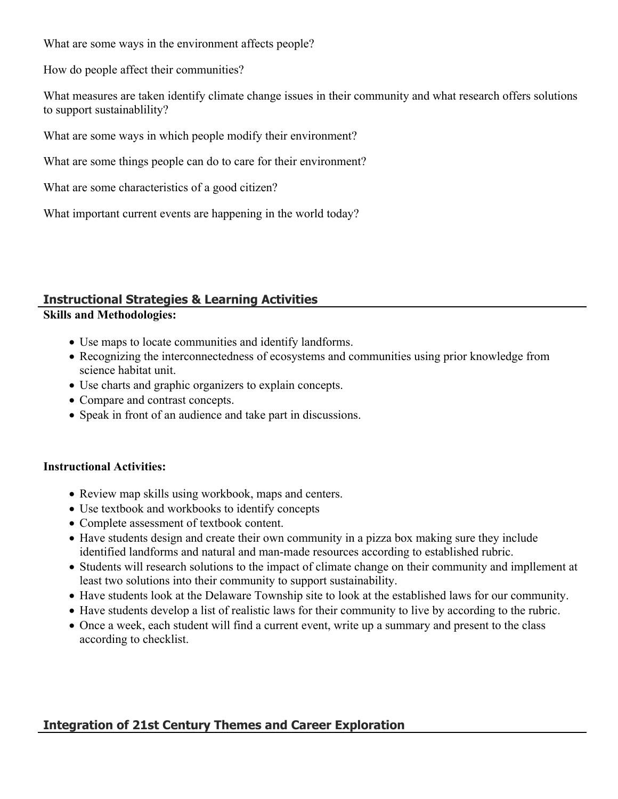What are some ways in the environment affects people?

How do people affect their communities?

What measures are taken identify climate change issues in their community and what research offers solutions to support sustainablility?

What are some ways in which people modify their environment?

What are some things people can do to care for their environment?

What are some characteristics of a good citizen?

What important current events are happening in the world today?

# **Instructional Strategies & Learning Activities**

### **Skills and Methodologies:**

- Use maps to locate communities and identify landforms.
- Recognizing the interconnectedness of ecosystems and communities using prior knowledge from science habitat unit.
- Use charts and graphic organizers to explain concepts.
- Compare and contrast concepts.
- Speak in front of an audience and take part in discussions.

# **Instructional Activities:**

- Review map skills using workbook, maps and centers.
- Use textbook and workbooks to identify concepts
- Complete assessment of textbook content.
- Have students design and create their own community in a pizza box making sure they include identified landforms and natural and man-made resources according to established rubric.
- Students will research solutions to the impact of climate change on their community and impllement at least two solutions into their community to support sustainability.
- Have students look at the Delaware Township site to look at the established laws for our community.
- Have students develop a list of realistic laws for their community to live by according to the rubric.
- Once a week, each student will find a current event, write up a summary and present to the class according to checklist.

# **Integration of 21st Century Themes and Career Exploration**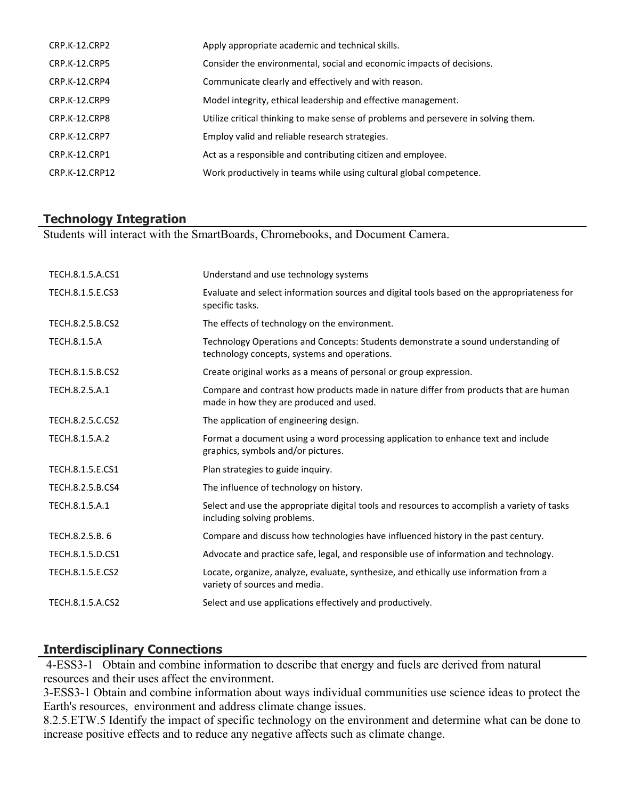| CRP.K-12.CRP2        | Apply appropriate academic and technical skills.                                   |
|----------------------|------------------------------------------------------------------------------------|
| <b>CRP.K-12.CRP5</b> | Consider the environmental, social and economic impacts of decisions.              |
| CRP.K-12.CRP4        | Communicate clearly and effectively and with reason.                               |
| CRP.K-12.CRP9        | Model integrity, ethical leadership and effective management.                      |
| CRP.K-12.CRP8        | Utilize critical thinking to make sense of problems and persevere in solving them. |
| <b>CRP.K-12.CRP7</b> | Employ valid and reliable research strategies.                                     |
| CRP.K-12.CRP1        | Act as a responsible and contributing citizen and employee.                        |
| CRP.K-12.CRP12       | Work productively in teams while using cultural global competence.                 |
|                      |                                                                                    |

# **Technology Integration**

Students will interact with the SmartBoards, Chromebooks, and Document Camera.

| TECH.8.1.5.A.CS1    | Understand and use technology systems                                                                                             |
|---------------------|-----------------------------------------------------------------------------------------------------------------------------------|
| TECH.8.1.5.E.CS3    | Evaluate and select information sources and digital tools based on the appropriateness for<br>specific tasks.                     |
| TECH.8.2.5.B.CS2    | The effects of technology on the environment.                                                                                     |
| <b>TECH.8.1.5.A</b> | Technology Operations and Concepts: Students demonstrate a sound understanding of<br>technology concepts, systems and operations. |
| TECH.8.1.5.B.CS2    | Create original works as a means of personal or group expression.                                                                 |
| TECH.8.2.5.A.1      | Compare and contrast how products made in nature differ from products that are human<br>made in how they are produced and used.   |
| TECH.8.2.5.C.CS2    | The application of engineering design.                                                                                            |
| TECH.8.1.5.A.2      | Format a document using a word processing application to enhance text and include<br>graphics, symbols and/or pictures.           |
| TECH.8.1.5.E.CS1    | Plan strategies to guide inquiry.                                                                                                 |
| TECH.8.2.5.B.CS4    | The influence of technology on history.                                                                                           |
| TECH.8.1.5.A.1      | Select and use the appropriate digital tools and resources to accomplish a variety of tasks<br>including solving problems.        |
| TECH.8.2.5.B. 6     | Compare and discuss how technologies have influenced history in the past century.                                                 |
| TECH.8.1.5.D.CS1    | Advocate and practice safe, legal, and responsible use of information and technology.                                             |
| TECH.8.1.5.E.CS2    | Locate, organize, analyze, evaluate, synthesize, and ethically use information from a<br>variety of sources and media.            |
| TECH.8.1.5.A.CS2    | Select and use applications effectively and productively.                                                                         |
|                     |                                                                                                                                   |

# **Interdisciplinary Connections**

 4-ESS3-1 Obtain and combine information to describe that energy and fuels are derived from natural resources and their uses affect the environment.

3-ESS3-1 Obtain and combine information about ways individual communities use science ideas to protect the Earth's resources, environment and address climate change issues.

8.2.5.ETW.5 Identify the impact of specific technology on the environment and determine what can be done to increase positive effects and to reduce any negative affects such as climate change.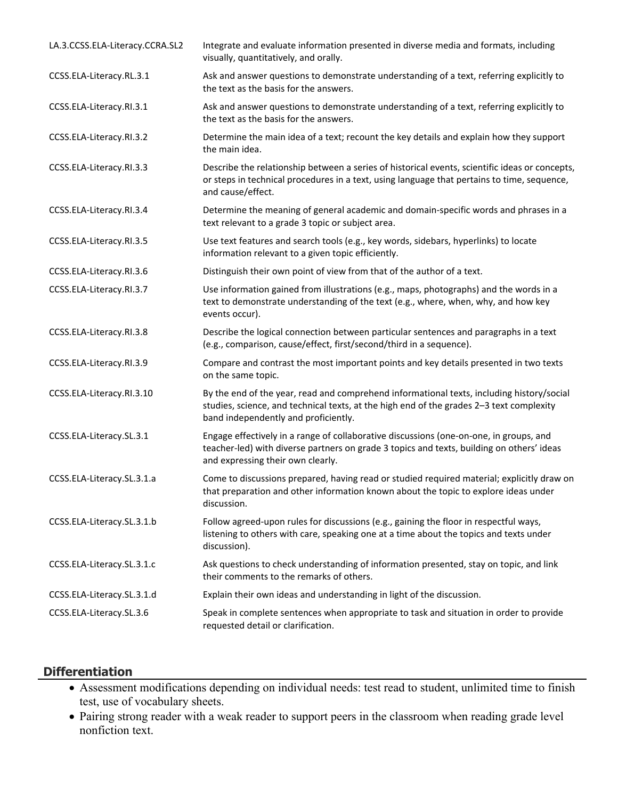| LA.3.CCSS.ELA-Literacy.CCRA.SL2 | Integrate and evaluate information presented in diverse media and formats, including<br>visually, quantitatively, and orally.                                                                                                 |
|---------------------------------|-------------------------------------------------------------------------------------------------------------------------------------------------------------------------------------------------------------------------------|
| CCSS.ELA-Literacy.RL.3.1        | Ask and answer questions to demonstrate understanding of a text, referring explicitly to<br>the text as the basis for the answers.                                                                                            |
| CCSS.ELA-Literacy.RI.3.1        | Ask and answer questions to demonstrate understanding of a text, referring explicitly to<br>the text as the basis for the answers.                                                                                            |
| CCSS.ELA-Literacy.RI.3.2        | Determine the main idea of a text; recount the key details and explain how they support<br>the main idea.                                                                                                                     |
| CCSS.ELA-Literacy.RI.3.3        | Describe the relationship between a series of historical events, scientific ideas or concepts,<br>or steps in technical procedures in a text, using language that pertains to time, sequence,<br>and cause/effect.            |
| CCSS.ELA-Literacy.RI.3.4        | Determine the meaning of general academic and domain-specific words and phrases in a<br>text relevant to a grade 3 topic or subject area.                                                                                     |
| CCSS.ELA-Literacy.RI.3.5        | Use text features and search tools (e.g., key words, sidebars, hyperlinks) to locate<br>information relevant to a given topic efficiently.                                                                                    |
| CCSS.ELA-Literacy.RI.3.6        | Distinguish their own point of view from that of the author of a text.                                                                                                                                                        |
| CCSS.ELA-Literacy.RI.3.7        | Use information gained from illustrations (e.g., maps, photographs) and the words in a<br>text to demonstrate understanding of the text (e.g., where, when, why, and how key<br>events occur).                                |
| CCSS.ELA-Literacy.RI.3.8        | Describe the logical connection between particular sentences and paragraphs in a text<br>(e.g., comparison, cause/effect, first/second/third in a sequence).                                                                  |
| CCSS.ELA-Literacy.RI.3.9        | Compare and contrast the most important points and key details presented in two texts<br>on the same topic.                                                                                                                   |
| CCSS.ELA-Literacy.RI.3.10       | By the end of the year, read and comprehend informational texts, including history/social<br>studies, science, and technical texts, at the high end of the grades 2-3 text complexity<br>band independently and proficiently. |
| CCSS.ELA-Literacy.SL.3.1        | Engage effectively in a range of collaborative discussions (one-on-one, in groups, and<br>teacher-led) with diverse partners on grade 3 topics and texts, building on others' ideas<br>and expressing their own clearly.      |
| CCSS.ELA-Literacy.SL.3.1.a      | Come to discussions prepared, having read or studied required material; explicitly draw on<br>that preparation and other information known about the topic to explore ideas under<br>discussion.                              |
| CCSS.ELA-Literacy.SL.3.1.b      | Follow agreed-upon rules for discussions (e.g., gaining the floor in respectful ways,<br>listening to others with care, speaking one at a time about the topics and texts under<br>discussion).                               |
| CCSS.ELA-Literacy.SL.3.1.c      | Ask questions to check understanding of information presented, stay on topic, and link<br>their comments to the remarks of others.                                                                                            |
| CCSS.ELA-Literacy.SL.3.1.d      | Explain their own ideas and understanding in light of the discussion.                                                                                                                                                         |
| CCSS.ELA-Literacy.SL.3.6        | Speak in complete sentences when appropriate to task and situation in order to provide<br>requested detail or clarification.                                                                                                  |

### **Differentiation**

- Assessment modifications depending on individual needs: test read to student, unlimited time to finish test, use of vocabulary sheets.
- Pairing strong reader with a weak reader to support peers in the classroom when reading grade level nonfiction text.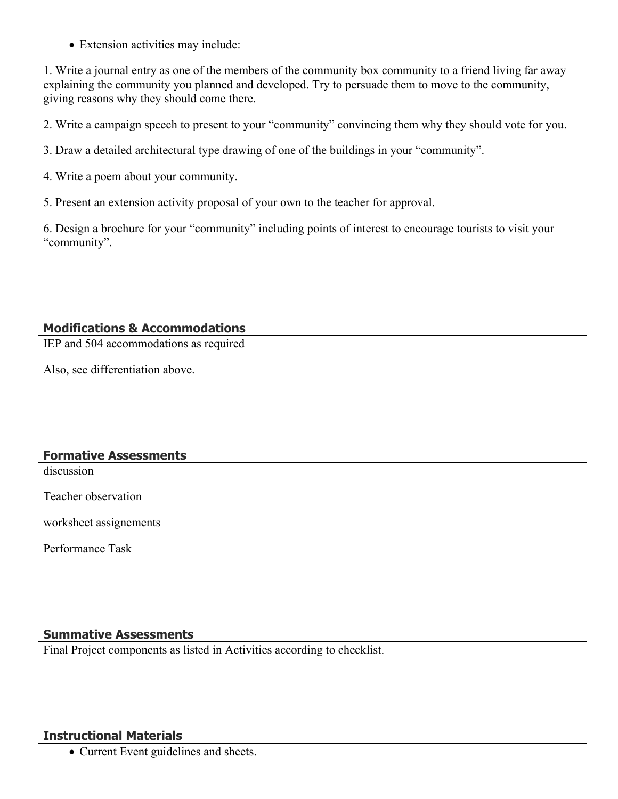Extension activities may include:

1. Write a journal entry as one of the members of the community box community to a friend living far away explaining the community you planned and developed. Try to persuade them to move to the community, giving reasons why they should come there.

2. Write a campaign speech to present to your "community" convincing them why they should vote for you.

- 3. Draw a detailed architectural type drawing of one of the buildings in your "community".
- 4. Write a poem about your community.
- 5. Present an extension activity proposal of your own to the teacher for approval.

6. Design a brochure for your "community" including points of interest to encourage tourists to visit your "community".

# **Modifications & Accommodations**

IEP and 504 accommodations as required

Also, see differentiation above.

#### **Formative Assessments**

discussion

Teacher observation

worksheet assignements

Performance Task

#### **Summative Assessments**

Final Project components as listed in Activities according to checklist.

#### **Instructional Materials**

• Current Event guidelines and sheets.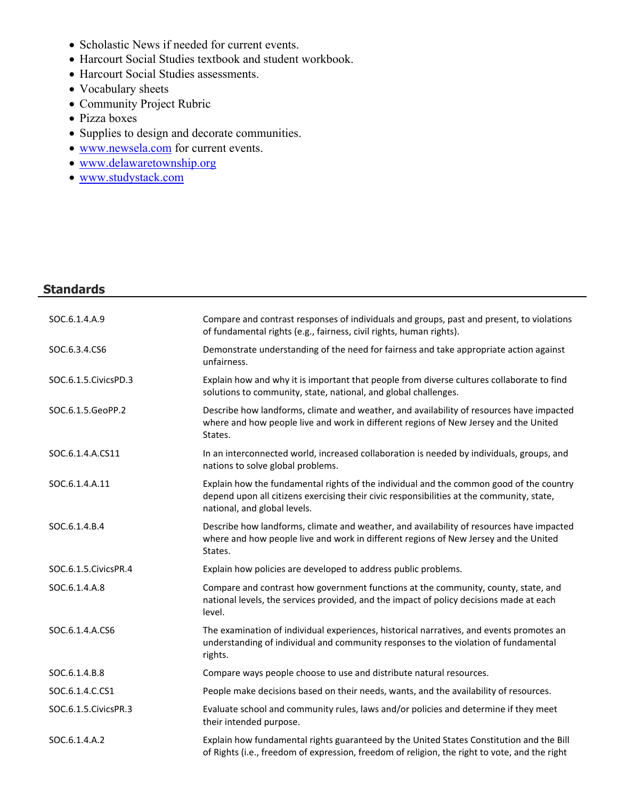- Scholastic News if needed for current events.
- Harcourt Social Studies textbook and student workbook.
- Harcourt Social Studies assessments.
- Vocabulary sheets
- Community Project Rubric
- Pizza boxes
- Supplies to design and decorate communities.
- [www.newsela.com](http://www.newsela.com/) for current events.
- [www.delawaretownship.org](http://www.delawaretownship.org/)
- [www.studystack.com](http://www.studystack.com/)

#### **Standards**

| SOC.6.1.4.A.9          | Compare and contrast responses of individuals and groups, past and present, to violations<br>of fundamental rights (e.g., fairness, civil rights, human rights).                                                     |
|------------------------|----------------------------------------------------------------------------------------------------------------------------------------------------------------------------------------------------------------------|
| SOC.6.3.4.CS6          | Demonstrate understanding of the need for fairness and take appropriate action against<br>unfairness.                                                                                                                |
| SOC.6.1.5.CivicsPD.3   | Explain how and why it is important that people from diverse cultures collaborate to find<br>solutions to community, state, national, and global challenges.                                                         |
| SOC.6.1.5.GeoPP.2      | Describe how landforms, climate and weather, and availability of resources have impacted<br>where and how people live and work in different regions of New Jersey and the United<br>States.                          |
| SOC.6.1.4.A.CS11       | In an interconnected world, increased collaboration is needed by individuals, groups, and<br>nations to solve global problems.                                                                                       |
| SOC.6.1.4.A.11         | Explain how the fundamental rights of the individual and the common good of the country<br>depend upon all citizens exercising their civic responsibilities at the community, state,<br>national, and global levels. |
| SOC.6.1.4.B.4          | Describe how landforms, climate and weather, and availability of resources have impacted<br>where and how people live and work in different regions of New Jersey and the United<br>States.                          |
| SOC.6.1.5. Civics PR.4 | Explain how policies are developed to address public problems.                                                                                                                                                       |
| SOC.6.1.4.A.8          | Compare and contrast how government functions at the community, county, state, and<br>national levels, the services provided, and the impact of policy decisions made at each<br>level.                              |
| SOC.6.1.4.A.CS6        | The examination of individual experiences, historical narratives, and events promotes an<br>understanding of individual and community responses to the violation of fundamental<br>rights.                           |
| SOC.6.1.4.B.8          | Compare ways people choose to use and distribute natural resources.                                                                                                                                                  |
| SOC.6.1.4.C.CS1        | People make decisions based on their needs, wants, and the availability of resources.                                                                                                                                |
| SOC.6.1.5. Civics PR.3 | Evaluate school and community rules, laws and/or policies and determine if they meet<br>their intended purpose.                                                                                                      |
| SOC.6.1.4.A.2          | Explain how fundamental rights guaranteed by the United States Constitution and the Bill<br>of Rights (i.e., freedom of expression, freedom of religion, the right to vote, and the right                            |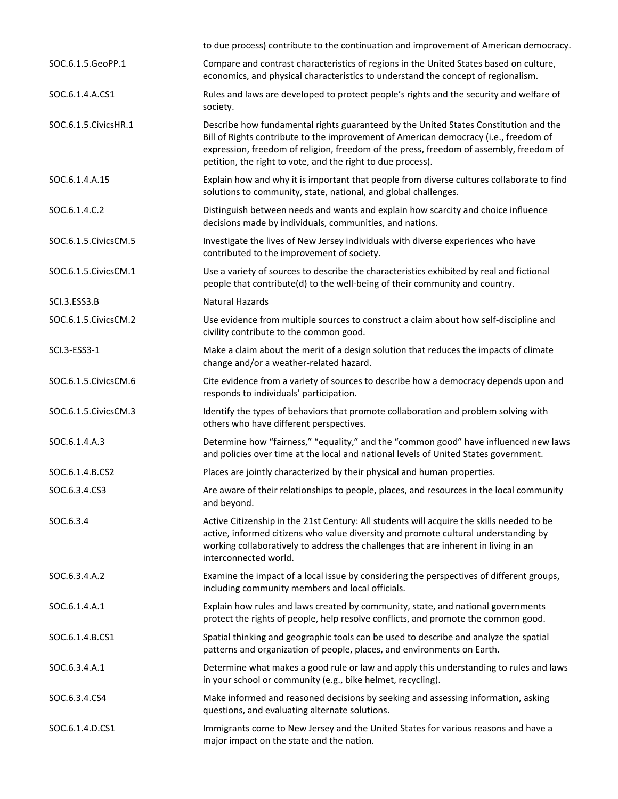|                        | to due process) contribute to the continuation and improvement of American democracy.                                                                                                                                                                                                                                                 |
|------------------------|---------------------------------------------------------------------------------------------------------------------------------------------------------------------------------------------------------------------------------------------------------------------------------------------------------------------------------------|
| SOC.6.1.5.GeoPP.1      | Compare and contrast characteristics of regions in the United States based on culture,<br>economics, and physical characteristics to understand the concept of regionalism.                                                                                                                                                           |
| SOC.6.1.4.A.CS1        | Rules and laws are developed to protect people's rights and the security and welfare of<br>society.                                                                                                                                                                                                                                   |
| SOC.6.1.5. Civics HR.1 | Describe how fundamental rights guaranteed by the United States Constitution and the<br>Bill of Rights contribute to the improvement of American democracy (i.e., freedom of<br>expression, freedom of religion, freedom of the press, freedom of assembly, freedom of<br>petition, the right to vote, and the right to due process). |
| SOC.6.1.4.A.15         | Explain how and why it is important that people from diverse cultures collaborate to find<br>solutions to community, state, national, and global challenges.                                                                                                                                                                          |
| SOC.6.1.4.C.2          | Distinguish between needs and wants and explain how scarcity and choice influence<br>decisions made by individuals, communities, and nations.                                                                                                                                                                                         |
| SOC.6.1.5. Civics CM.5 | Investigate the lives of New Jersey individuals with diverse experiences who have<br>contributed to the improvement of society.                                                                                                                                                                                                       |
| SOC.6.1.5. Civics CM.1 | Use a variety of sources to describe the characteristics exhibited by real and fictional<br>people that contribute(d) to the well-being of their community and country.                                                                                                                                                               |
| SCI.3.ESS3.B           | Natural Hazards                                                                                                                                                                                                                                                                                                                       |
| SOC.6.1.5. Civics CM.2 | Use evidence from multiple sources to construct a claim about how self-discipline and<br>civility contribute to the common good.                                                                                                                                                                                                      |
| SCI.3-ESS3-1           | Make a claim about the merit of a design solution that reduces the impacts of climate<br>change and/or a weather-related hazard.                                                                                                                                                                                                      |
| SOC.6.1.5. Civics CM.6 | Cite evidence from a variety of sources to describe how a democracy depends upon and<br>responds to individuals' participation.                                                                                                                                                                                                       |
| SOC.6.1.5. Civics CM.3 | Identify the types of behaviors that promote collaboration and problem solving with<br>others who have different perspectives.                                                                                                                                                                                                        |
| SOC.6.1.4.A.3          | Determine how "fairness," "equality," and the "common good" have influenced new laws<br>and policies over time at the local and national levels of United States government.                                                                                                                                                          |
| SOC.6.1.4.B.CS2        | Places are jointly characterized by their physical and human properties.                                                                                                                                                                                                                                                              |
| SOC.6.3.4.CS3          | Are aware of their relationships to people, places, and resources in the local community<br>and beyond.                                                                                                                                                                                                                               |
| SOC.6.3.4              | Active Citizenship in the 21st Century: All students will acquire the skills needed to be<br>active, informed citizens who value diversity and promote cultural understanding by<br>working collaboratively to address the challenges that are inherent in living in an<br>interconnected world.                                      |
| SOC.6.3.4.A.2          | Examine the impact of a local issue by considering the perspectives of different groups,<br>including community members and local officials.                                                                                                                                                                                          |
| SOC.6.1.4.A.1          | Explain how rules and laws created by community, state, and national governments<br>protect the rights of people, help resolve conflicts, and promote the common good.                                                                                                                                                                |
| SOC.6.1.4.B.CS1        | Spatial thinking and geographic tools can be used to describe and analyze the spatial<br>patterns and organization of people, places, and environments on Earth.                                                                                                                                                                      |
| SOC.6.3.4.A.1          | Determine what makes a good rule or law and apply this understanding to rules and laws<br>in your school or community (e.g., bike helmet, recycling).                                                                                                                                                                                 |
| SOC.6.3.4.CS4          | Make informed and reasoned decisions by seeking and assessing information, asking<br>questions, and evaluating alternate solutions.                                                                                                                                                                                                   |
| SOC.6.1.4.D.CS1        | Immigrants come to New Jersey and the United States for various reasons and have a<br>major impact on the state and the nation.                                                                                                                                                                                                       |